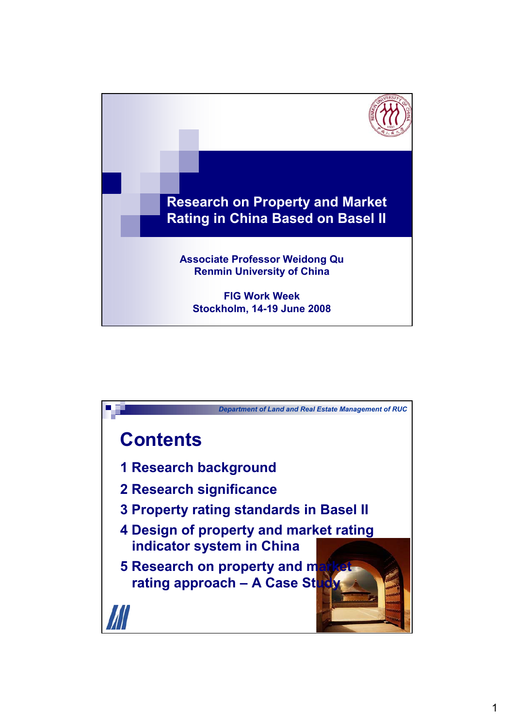

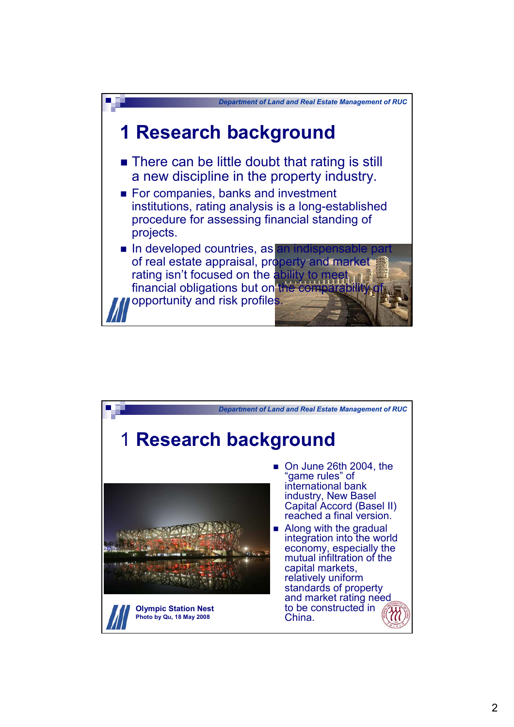

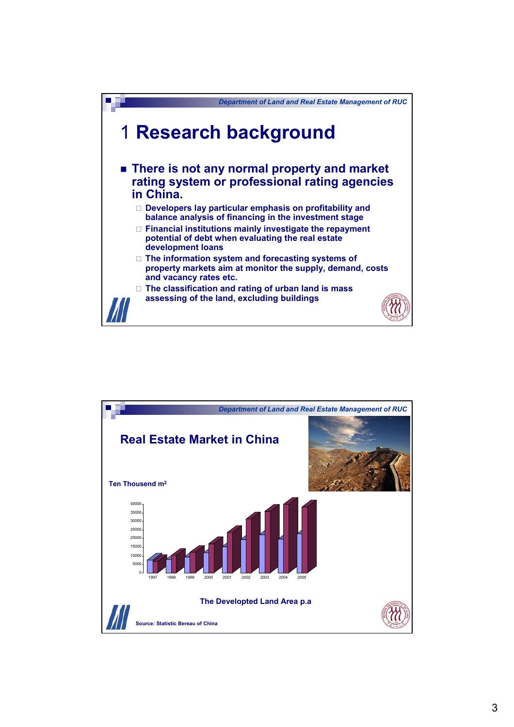

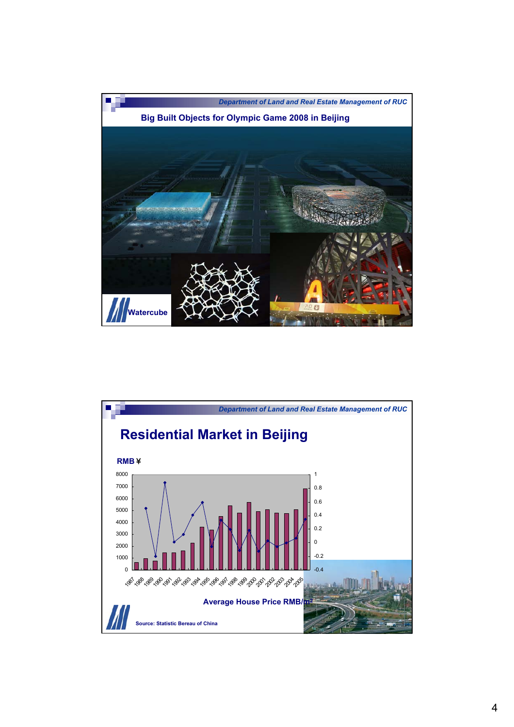

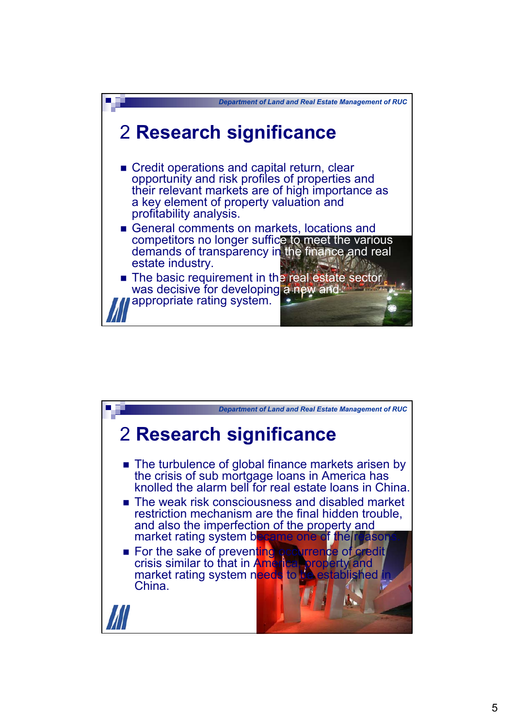

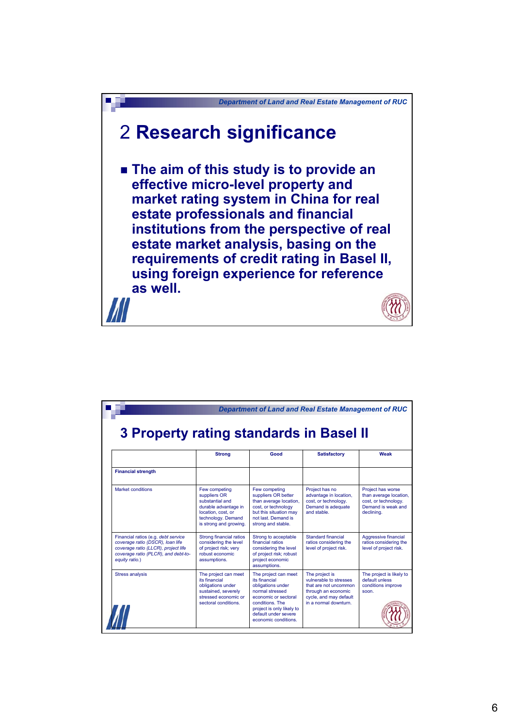

| Department of Land and Real Estate Management of RUC<br>3 Property rating standards in Basel II                                                                         |                                                                                                                                                |                                                                                                                                                                                                       |                                                                                                                                            |                                                                                                         |
|-------------------------------------------------------------------------------------------------------------------------------------------------------------------------|------------------------------------------------------------------------------------------------------------------------------------------------|-------------------------------------------------------------------------------------------------------------------------------------------------------------------------------------------------------|--------------------------------------------------------------------------------------------------------------------------------------------|---------------------------------------------------------------------------------------------------------|
|                                                                                                                                                                         | <b>Strong</b>                                                                                                                                  | Good                                                                                                                                                                                                  | <b>Satisfactory</b>                                                                                                                        | Weak                                                                                                    |
| <b>Financial strength</b>                                                                                                                                               |                                                                                                                                                |                                                                                                                                                                                                       |                                                                                                                                            |                                                                                                         |
| Market conditions                                                                                                                                                       | Few competing<br>suppliers OR<br>substantial and<br>durable advantage in<br>location, cost, or<br>technology. Demand<br>is strong and growing. | Few competing<br>suppliers OR better<br>than average location,<br>cost, or technology<br>but this situation may<br>not last. Demand is<br>strong and stable.                                          | Project has no<br>advantage in location,<br>cost, or technology.<br>Demand is adequate<br>and stable.                                      | Project has worse<br>than average location,<br>cost, or technology.<br>Demand is weak and<br>declinina. |
| Financial ratios (e.g. debt service<br>coverage ratio (DSCR), loan life<br>coverage ratio (LLCR), project life<br>coverage ratio (PLCR), and debt-to-<br>equity ratio.) | Strong financial ratios<br>considering the level<br>of project risk; very<br>robust economic<br>assumptions.                                   | Strong to acceptable<br>financial ratios<br>considering the level<br>of project risk; robust<br>project economic<br>assumptions.                                                                      | Standard financial<br>ratios considering the<br>level of project risk.                                                                     | Aggressive financial<br>ratios considering the<br>level of project risk.                                |
| <b>Stress analysis</b>                                                                                                                                                  | The project can meet<br>its financial<br>obligations under<br>sustained, severely<br>stressed economic or<br>sectoral conditions.              | The project can meet<br>its financial<br>obligations under<br>normal stressed<br>economic or sectoral<br>conditions. The<br>project is only likely to<br>default under severe<br>economic conditions. | The project is<br>vulnerable to stresses<br>that are not uncommon<br>through an economic<br>cycle, and may default<br>in a normal downturn | The project is likely to<br>default unless<br>conditions improve<br>soon.                               |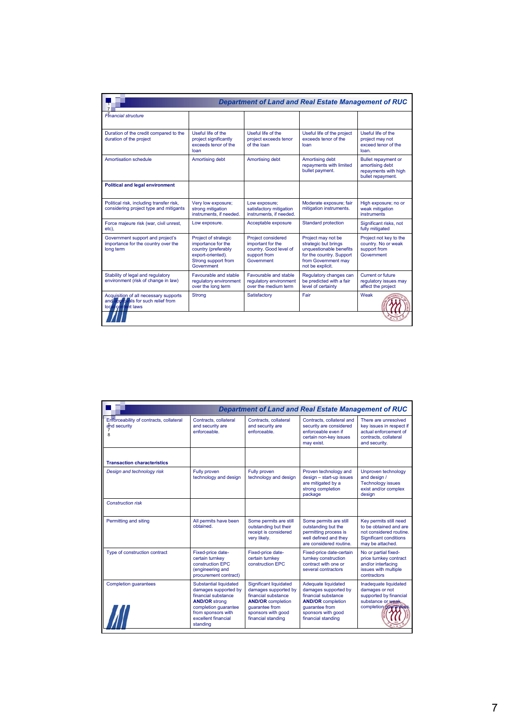| ┱<br>7 <sup>1</sup>                                                                               |                                                                                                                             |                                                                                                        | <b>Department of Land and Real Estate Management of RUC</b>                                                                                  |                                                                                            |
|---------------------------------------------------------------------------------------------------|-----------------------------------------------------------------------------------------------------------------------------|--------------------------------------------------------------------------------------------------------|----------------------------------------------------------------------------------------------------------------------------------------------|--------------------------------------------------------------------------------------------|
| Financial structure                                                                               |                                                                                                                             |                                                                                                        |                                                                                                                                              |                                                                                            |
| Duration of the credit compared to the<br>duration of the project                                 | Useful life of the<br>project significantly<br>exceeds tenor of the<br>loan                                                 | Useful life of the<br>project exceeds tenor<br>of the loan                                             | Useful life of the project<br>exceeds tenor of the<br>loan                                                                                   | Useful life of the<br>project may not<br>exceed tenor of the<br>loan.                      |
| Amortisation schedule                                                                             | Amortising debt                                                                                                             | Amortising debt                                                                                        | Amortising debt<br>repayments with limited<br>bullet payment.                                                                                | <b>Bullet repayment or</b><br>amortising debt<br>repayments with high<br>bullet repayment. |
| <b>Political and legal environment</b>                                                            |                                                                                                                             |                                                                                                        |                                                                                                                                              |                                                                                            |
| Political risk, including transfer risk,<br>considering project type and mitigants                | Very low exposure;<br>strong mitigation<br>instruments, if needed.                                                          | Low exposure;<br>satisfactory mitigation<br>instruments, if needed.                                    | Moderate exposure; fair<br>mitigation instruments.                                                                                           | High exposure; no or<br>weak mitigation<br>instruments                                     |
| Force majeure risk (war, civil unrest,<br>etc).                                                   | Low exposure.                                                                                                               | Acceptable exposure                                                                                    | <b>Standard protection</b>                                                                                                                   | Significant risks, not<br>fully mitigated                                                  |
| Government support and project's<br>importance for the country over the<br>long term              | Project of strategic<br>importance for the<br>country (preferably<br>export-oriented).<br>Strong support from<br>Government | <b>Project considered</b><br>important for the<br>country. Good level of<br>support from<br>Government | Project may not be<br>strategic but brings<br>unquestionable benefits<br>for the country. Support<br>from Government may<br>not be explicit. | Project not key to the<br>country. No or weak<br>support from<br>Government                |
| Stability of legal and regulatory<br>environment (risk of change in law)                          | Favourable and stable<br>regulatory environment<br>over the long term                                                       | Favourable and stable<br>regulatory environment<br>over the medium term                                | Regulatory changes can<br>be predicted with a fair<br>level of certainty                                                                     | Current or future<br>regulatory issues may<br>affect the project                           |
| Acquisition of all necessary supports<br>and approvals for such relief from<br>local content laws | <b>Strong</b>                                                                                                               | Satisfactory                                                                                           | Fair                                                                                                                                         | Weak                                                                                       |

|                                                              |                                                                                                                                                                                | Department of Land and Real Estate Management of RUC                                                                                                            |                                                                                                                                                              |                                                                                                                                  |  |
|--------------------------------------------------------------|--------------------------------------------------------------------------------------------------------------------------------------------------------------------------------|-----------------------------------------------------------------------------------------------------------------------------------------------------------------|--------------------------------------------------------------------------------------------------------------------------------------------------------------|----------------------------------------------------------------------------------------------------------------------------------|--|
| Enforceability of contracts, collateral<br>and security<br>8 | Contracts, collateral<br>and security are<br>enforceable.                                                                                                                      | Contracts, collateral<br>and security are<br>enforceable.                                                                                                       | Contracts, collateral and<br>security are considered<br>enforceable even if<br>certain non-key issues<br>may exist.                                          | There are unresolved<br>key issues in respect if<br>actual enforcement of<br>contracts, collateral<br>and security.              |  |
| <b>Transaction characteristics</b>                           |                                                                                                                                                                                |                                                                                                                                                                 |                                                                                                                                                              |                                                                                                                                  |  |
| Design and technology risk                                   | Fully proven<br>technology and design                                                                                                                                          | Fully proven<br>technology and design                                                                                                                           | Proven technology and<br>design - start-up issues<br>are mitigated by a<br>strong completion<br>package                                                      | Unproven technology<br>and design /<br><b>Technology issues</b><br>exist and/or complex<br>design                                |  |
| <b>Construction risk</b>                                     |                                                                                                                                                                                |                                                                                                                                                                 |                                                                                                                                                              |                                                                                                                                  |  |
| Permitting and siting                                        | All permits have been<br>obtained.                                                                                                                                             | Some permits are still<br>outstanding but their<br>receipt is considered<br>very likely.                                                                        | Some permits are still<br>outstanding but the<br>permitting process is<br>well defined and they<br>are considered routine.                                   | Key permits still need<br>to be obtained and are<br>not considered routine.<br><b>Significant conditions</b><br>may be attached. |  |
| Type of construction contract                                | Fixed-price date-<br>certain turnkey<br>construction EPC<br>(engineering and<br>procurement contract)                                                                          | Fixed-price date-<br>certain turnkey<br>construction EPC                                                                                                        | Fixed-price date-certain<br>turnkey construction<br>contract with one or<br>several contractors                                                              | No or partial fixed-<br>price turnkey contract<br>and/or interfacing<br>issues with multiple<br>contractors                      |  |
| <b>Completion quarantees</b>                                 | Substantial liquidated<br>damages supported by<br>financial substance<br><b>AND/OR strong</b><br>completion guarantee<br>from sponsors with<br>excellent financial<br>standing | Significant liquidated<br>damages supported by<br>financial substance<br><b>AND/OR</b> completion<br>quarantee from<br>sponsors with good<br>financial standing | Adequate liquidated<br>damages supported by<br>financial substance<br><b>AND/OR</b> completion<br>quarantee from<br>sponsors with good<br>financial standing | Inadequate liquidated<br>damages or not<br>supported by financial<br>substance or weak<br>completion guarantees.                 |  |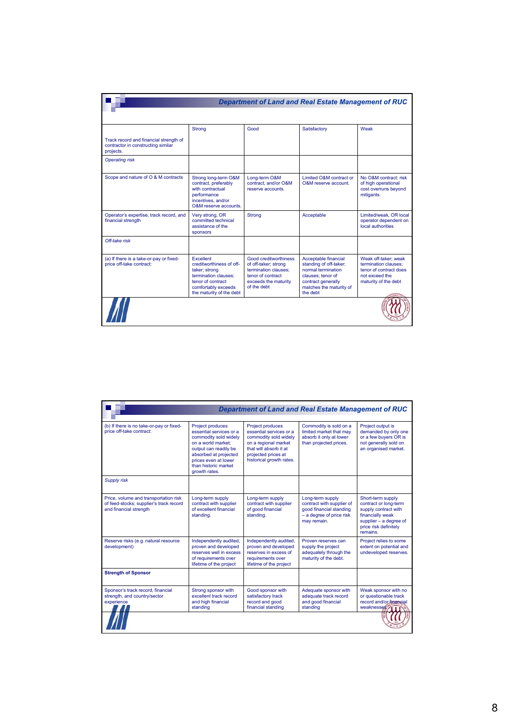|                                                                                           |                                                                                                                                                        |                                                                                                                                   | <b>Department of Land and Real Estate Management of RUC</b>                                                                                            |                                                                                                                  |
|-------------------------------------------------------------------------------------------|--------------------------------------------------------------------------------------------------------------------------------------------------------|-----------------------------------------------------------------------------------------------------------------------------------|--------------------------------------------------------------------------------------------------------------------------------------------------------|------------------------------------------------------------------------------------------------------------------|
| Track record and financial strength of<br>contractor in constructing similar<br>projects. | <b>Strong</b>                                                                                                                                          | Good                                                                                                                              | Satisfactory                                                                                                                                           | Weak                                                                                                             |
| <b>Operating risk</b>                                                                     |                                                                                                                                                        |                                                                                                                                   |                                                                                                                                                        |                                                                                                                  |
| Scope and nature of O & M contracts                                                       | Strong long-term O&M<br>contract, preferably<br>with contractual<br>performance<br>incentives, and/or<br>O&M reserve accounts.                         | Long-term O&M<br>contract, and/or O&M<br>reserve accounts.                                                                        | Limited O&M contract or<br>O&M reserve account.                                                                                                        | No O&M contract: risk<br>of high operational<br>cost overruns beyond<br>mitigants.                               |
| Operator's expertise, track record, and<br>financial strength                             | Very strong, OR<br>committed technical<br>assistance of the<br>sponsors                                                                                | <b>Strong</b>                                                                                                                     | Acceptable                                                                                                                                             | Limited/weak, OR local<br>operator dependent on<br>local authorities                                             |
| Off-take risk                                                                             |                                                                                                                                                        |                                                                                                                                   |                                                                                                                                                        |                                                                                                                  |
| (a) If there is a take-or-pay or fixed-<br>price off-take contract:                       | Excellent<br>creditworthiness of off-<br>taker: strong<br>termination clauses:<br>tenor of contract<br>comfortably exceeds<br>the maturity of the debt | Good creditworthiness<br>of off-taker; strong<br>termination clauses:<br>tenor of contract<br>exceeds the maturity<br>of the debt | Acceptable financial<br>standing of off-taker:<br>normal termination<br>clauses: tenor of<br>contract generally<br>matches the maturity of<br>the debt | Weak off-taker; weak<br>termination clauses:<br>tenor of contract does<br>not exceed the<br>maturity of the debt |
|                                                                                           |                                                                                                                                                        |                                                                                                                                   |                                                                                                                                                        |                                                                                                                  |

| <b>Department of Land and Real Estate Management of RUC</b>                                                |                                                                                                                                                                                                                      |                                                                                                                                                                           |                                                                                                                     |                                                                                                                                                       |
|------------------------------------------------------------------------------------------------------------|----------------------------------------------------------------------------------------------------------------------------------------------------------------------------------------------------------------------|---------------------------------------------------------------------------------------------------------------------------------------------------------------------------|---------------------------------------------------------------------------------------------------------------------|-------------------------------------------------------------------------------------------------------------------------------------------------------|
| (b) If there is no take-or-pay or fixed-<br>price off-take contract:                                       | <b>Project produces</b><br>essential services or a<br>commodity sold widely<br>on a world market:<br>output can readily be<br>absorbed at projected<br>prices even at lower<br>than historic market<br>growth rates. | Project produces<br>essential services or a<br>commodity sold widely<br>on a regional market<br>that will absorb it at<br>projected prices at<br>historical growth rates. | Commodity is sold on a<br>limited market that may<br>absorb it only at lower<br>than projected prices.              | Project output is<br>demanded by only one<br>or a few buyers OR is<br>not generally sold on<br>an organised market.                                   |
| <b>Supply risk</b>                                                                                         |                                                                                                                                                                                                                      |                                                                                                                                                                           |                                                                                                                     |                                                                                                                                                       |
| Price, volume and transportation risk<br>of feed-stocks; supplier's track record<br>and financial strength | Long-term supply<br>contract with supplier<br>of excellent financial<br>standing.                                                                                                                                    | Long-term supply<br>contract with supplier<br>of good financial<br>standing.                                                                                              | Long-term supply<br>contract with supplier of<br>good financial standing<br>- a degree of price risk<br>may remain. | Short-term supply<br>contract or long-term<br>supply contract with<br>financially weak<br>supplier - a degree of<br>price risk definitely<br>remains. |
| Reserve risks (e.g. natural resource<br>development)                                                       | Independently audited,<br>proven and developed<br>reserves well in excess<br>of requirements over<br>lifetime of the project                                                                                         | Independently audited,<br>proven and developed<br>reserves in excess of<br>requirements over<br>lifetime of the project                                                   | Proven reserves can<br>supply the project<br>adequately through the<br>maturity of the debt.                        | Project relies to some<br>extent on potential and<br>undeveloped reserves.                                                                            |
| <b>Strength of Sponsor</b>                                                                                 |                                                                                                                                                                                                                      |                                                                                                                                                                           |                                                                                                                     |                                                                                                                                                       |
| Sponsor's track record, financial<br>strength, and country/sector<br>experience                            | Strong sponsor with<br>excellent track record<br>and high financial<br>standing                                                                                                                                      | Good sponsor with<br>satisfactory track<br>record and good<br>financial standing                                                                                          | Adequate sponsor with<br>adequate track record<br>and good financial<br>standing                                    | Weak sponsor with no<br>or questionable track<br>record and/or financial<br>weaknesses                                                                |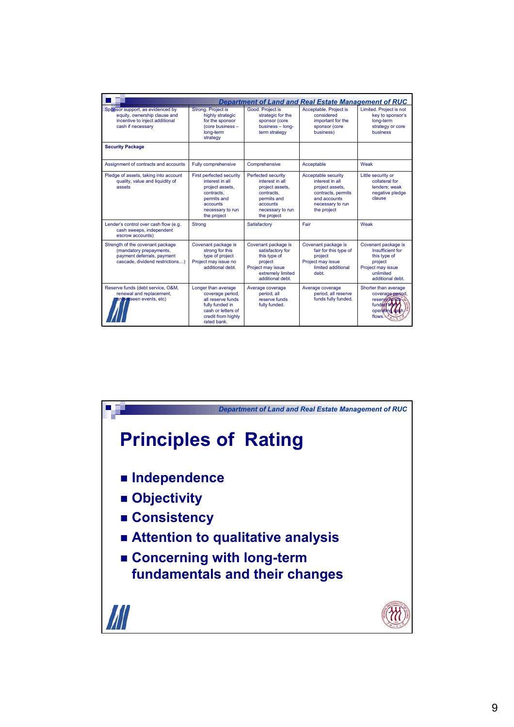|                                                                                                                              |                                                                                                                                            |                                                                                                                                      | Department of Land and Real Estate Management of RUC                                                                               |                                                                                                                          |
|------------------------------------------------------------------------------------------------------------------------------|--------------------------------------------------------------------------------------------------------------------------------------------|--------------------------------------------------------------------------------------------------------------------------------------|------------------------------------------------------------------------------------------------------------------------------------|--------------------------------------------------------------------------------------------------------------------------|
| Sponsor support, as evidenced by<br>equity, ownership clause and<br>incentive to inject additional<br>cash if necessary      | Strong. Project is<br>highly strategic<br>for the sponsor<br>(core business -<br>long-term<br>strategy                                     | Good. Project is<br>strategic for the<br>sponsor (core<br>business - long-<br>term strategy                                          | Acceptable. Project is<br>considered<br>important for the<br>sponsor (core<br>business)                                            | Limited. Project is not<br>key to sponsor's<br>long-term<br>strategy or core<br><b>business</b>                          |
| <b>Security Package</b>                                                                                                      |                                                                                                                                            |                                                                                                                                      |                                                                                                                                    |                                                                                                                          |
| Assignment of contracts and accounts                                                                                         | Fully comprehensive                                                                                                                        | Comprehensive                                                                                                                        | Acceptable                                                                                                                         | Weak                                                                                                                     |
| Pledge of assets, taking into account<br>quality, value and liquidity of<br>assets                                           | First perfected security<br>interest in all<br>project assets.<br>contracts.<br>permits and<br>accounts<br>necessary to run<br>the project | Perfected security<br>interest in all<br>project assets.<br>contracts.<br>permits and<br>accounts<br>necessary to run<br>the project | Acceptable security<br>interest in all<br>project assets.<br>contracts, permits<br>and accounts<br>necessary to run<br>the project | Little security or<br>collateral for<br>lenders: weak<br>negative pledge<br>clause                                       |
| Lender's control over cash flow (e.g.<br>cash sweeps, independent<br>escrow accounts)                                        | <b>Strong</b>                                                                                                                              | Satisfactory                                                                                                                         | Fair                                                                                                                               | Weak                                                                                                                     |
| Strength of the covenant package<br>(mandatory prepayments,<br>payment deferrals, payment<br>cascade, dividend restrictions) | Covenant package is<br>strong for this<br>type of project<br>Project may issue no<br>additional debt.                                      | Covenant package is<br>satisfactory for<br>this type of<br>project<br>Project may issue<br>extremely limited<br>additional debt.     | Covenant package is<br>fair for this type of<br>project<br>Project may issue<br>limited additional<br>debt.                        | Covenant package is<br>Insufficient for<br>this type of<br>project<br>Project may issue<br>unlimited<br>additional debt. |
| Reserve funds (debt service, O&M,<br>renewal and replacement,<br><b>Dreseen events, etc)</b>                                 | Longer than average<br>coverage period,<br>all reserve funds<br>fully funded in<br>cash or letters of<br>credit from highly<br>rated bank. | Average coverage<br>period, all<br>reserve funds<br>fully funded.                                                                    | Average coverage<br>period, all reserve<br>funds fully funded.                                                                     | Shorter than average<br>coverage period.<br>reserve funds<br>funded from<br>operating dash<br>flows.                     |

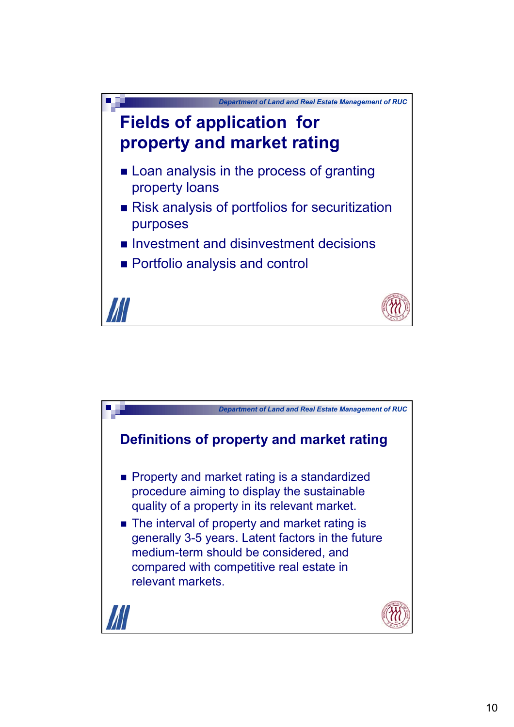

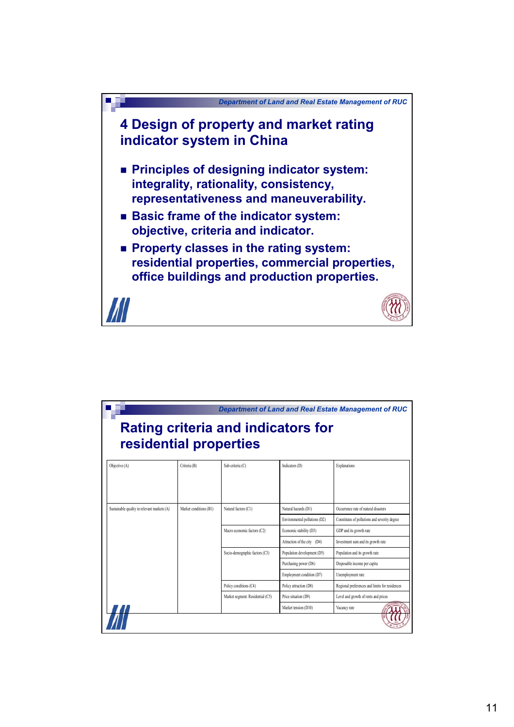

| Department of Land and Real Estate Management of RUC                |                        |                                  |                               |                                                |
|---------------------------------------------------------------------|------------------------|----------------------------------|-------------------------------|------------------------------------------------|
| <b>Rating criteria and indicators for</b><br>residential properties |                        |                                  |                               |                                                |
| Objective (A)                                                       | Criteria (B)           | Sub-criteria (C)                 | Indicators (D)                | Explanations                                   |
| Sustainable quality in relevant markets (A)                         | Market conditions (B1) | Natural factors (C1)             | Natural hazards (D1)          | Occurrence rate of natural disasters           |
|                                                                     |                        |                                  | Environmental pollutions (D2) | Constitutes of pollutions and severity degree  |
|                                                                     |                        | Macro economic factors (C2)      | Economic stability (D3)       | GDP and its growth rate                        |
|                                                                     |                        |                                  | Attraction of the city (D4)   | Investment sum and its growth rate             |
|                                                                     |                        | Socio-demographic factors (C3)   | Population development (D5)   | Population and its growth rate                 |
|                                                                     |                        |                                  | Purchasing power (D6)         | Disposable income per capita                   |
|                                                                     |                        |                                  | Employment condition (D7)     | Unemployment rate                              |
|                                                                     |                        | Policy conditions (C4)           | Policy attraction (D8)        | Regional preferences and limits for residences |
|                                                                     |                        | Market segment: Residential (C5) | Price situation (D9)          | Level and growth of rents and prices           |
|                                                                     |                        |                                  | Market tension (D10)          | Vacancy rate                                   |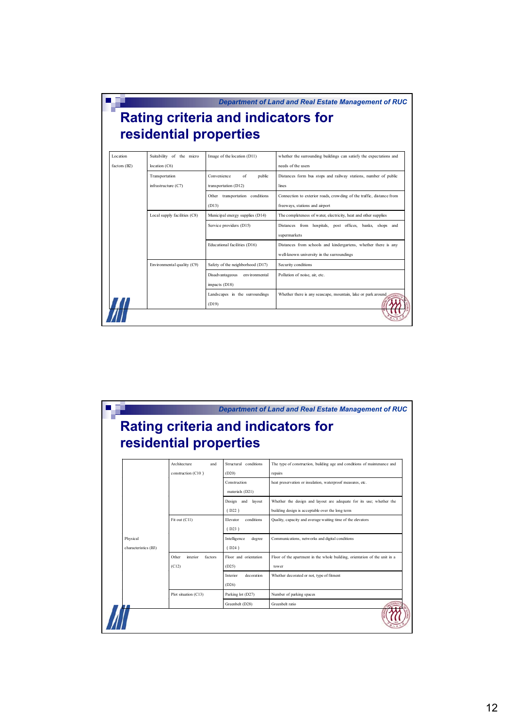|                          | residential properties                    | <b>Rating criteria and indicators for</b>                            |                                                                                                                                             |
|--------------------------|-------------------------------------------|----------------------------------------------------------------------|---------------------------------------------------------------------------------------------------------------------------------------------|
| Location<br>factors (B2) | Suitability of the micro<br>location (C6) | Image of the location (D11)                                          | whether the surrounding buildings can satisfy the expectations and<br>needs of the users                                                    |
|                          | Transportation<br>infrastructure (C7)     | Convenience<br>public<br>of<br>transportation (D12)                  | Distances form bus stops and railway stations, number of public<br>lines                                                                    |
|                          |                                           | Other transportation conditions<br>(D13)                             | Connection to exterior roads, crowding of the traffic, distance from<br>freeways, stations and airport                                      |
|                          | Local supply facilities (C8)              | Municipal energy supplies (D14)<br>Service providers (D15)           | The completeness of water, electricity, heat and other supplies<br>Distances from hospitals, post offices, banks, shops and<br>supermarkets |
|                          |                                           | Educational facilities (D16)                                         | Distances from schools and kindergartens, whether there is any<br>well-known university in the surroundings                                 |
|                          | Environmental quality (C9)                | Safety of the neighborhood (D17)<br>Disadvantageous<br>environmental | Security conditions<br>Pollution of noise, air, etc.                                                                                        |
|                          |                                           | impacts (D18)<br>Landscapes in the surroundings<br>(D19)             | Whether there is any seascape, mountain, lake or park around                                                                                |

| Architecture<br>and<br>construction (C10) | Structural conditions                |                                                                                                                         |
|-------------------------------------------|--------------------------------------|-------------------------------------------------------------------------------------------------------------------------|
|                                           | (D20)                                | The type of construction, building age and conditions of maintenance and<br>repairs                                     |
|                                           | Construction<br>materials (D21)      | heat preservation or insulation, waterproof measures, etc.                                                              |
|                                           | Design and layout<br>(D22)           | Whether the design and layout are adequate for its use; whether the<br>building design is acceptable over the long term |
| Fit out (C11)                             | conditions<br>Elevator<br>(D23)      | Quality, capacity and average waiting time of the elevators                                                             |
|                                           | Intelligence<br>degree<br>(D24)      | Communications, networks and digital conditions                                                                         |
| interior<br>Other<br>factors<br>(C12)     | Floor and orientation<br>(D25)       | Floor of the apartment in the whole building, orientation of the unit in a<br>tower                                     |
|                                           | Interior<br>decoration<br>(D26)      | Whether decorated or not, type of fitment                                                                               |
| Plot situation (C13)                      | Parking lot (D27)<br>Greenbelt (D28) | Number of parking spaces<br>Greenbelt ratio                                                                             |
|                                           |                                      |                                                                                                                         |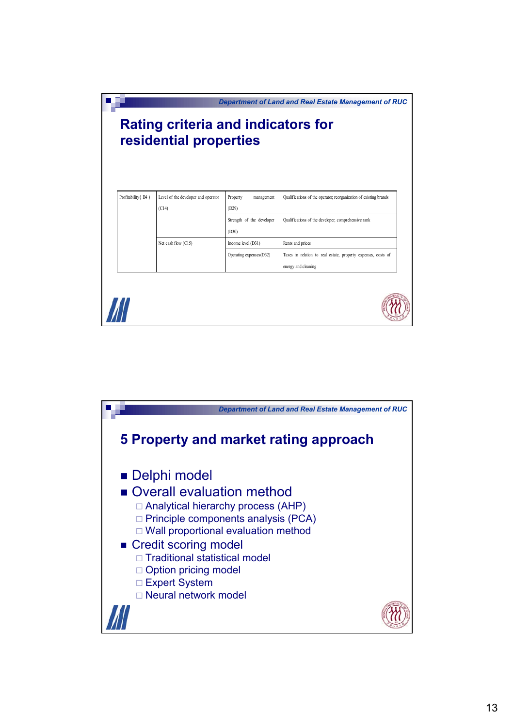

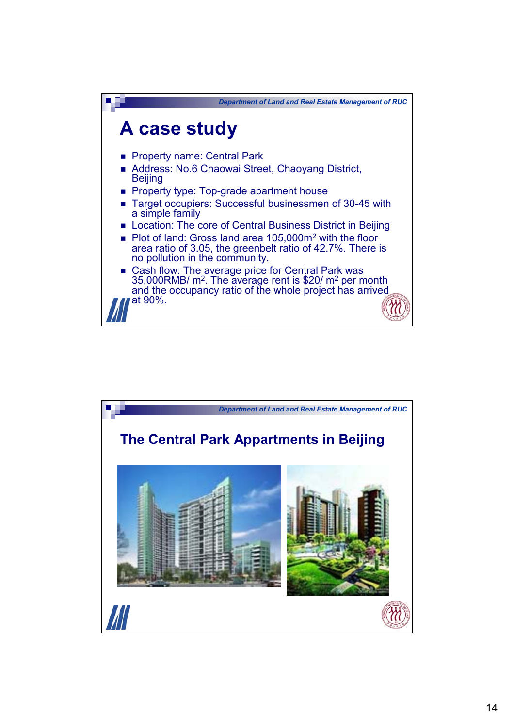

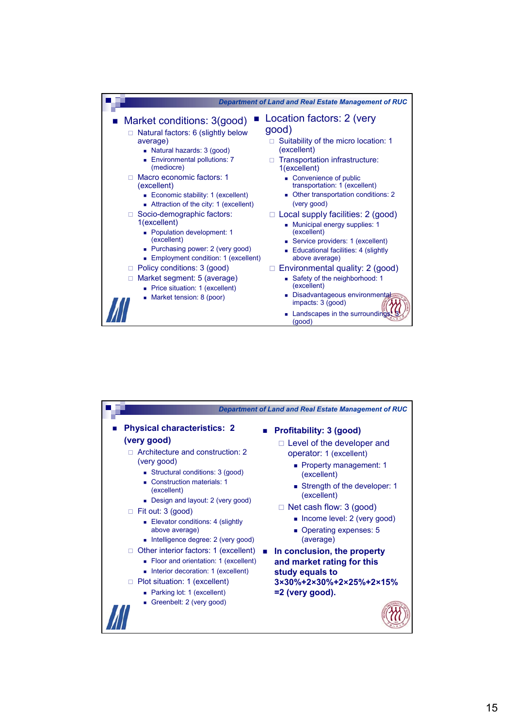

| <b>Physical characteristics: 2</b>                                                                                                                                                                                                                                                                                                                                                                                                                                                                                                            | Profitability: 3 (good)                                                                                                                                                                                                                                                                                                                                                                                   |
|-----------------------------------------------------------------------------------------------------------------------------------------------------------------------------------------------------------------------------------------------------------------------------------------------------------------------------------------------------------------------------------------------------------------------------------------------------------------------------------------------------------------------------------------------|-----------------------------------------------------------------------------------------------------------------------------------------------------------------------------------------------------------------------------------------------------------------------------------------------------------------------------------------------------------------------------------------------------------|
| (very good)<br>Architecture and construction: 2<br>(very good)<br>Structural conditions: 3 (good)<br>Construction materials: 1<br>(excellent)<br>Design and layout: 2 (very good)<br>$\Box$ Fit out: 3 (good)<br>■ Elevator conditions: 4 (slightly<br>above average)<br>Intelligence degree: 2 (very good)<br>$\Box$ Other interior factors: 1 (excellent)<br>• Floor and orientation: 1 (excellent)<br>Interior decoration: 1 (excellent)<br>$\Box$ Plot situation: 1 (excellent)<br>Parking lot: 1 (excellent)<br>Greenbelt: 2 (very good) | $\Box$ Level of the developer and<br>operator: 1 (excellent)<br>Property management: 1<br>(excellent)<br>Strength of the developer: 1<br>(excellent)<br>$\Box$ Net cash flow: 3 (good)<br>Income level: 2 (very good)<br>• Operating expenses: 5<br>(average)<br>In conclusion, the property<br>and market rating for this<br>study equals to<br>$3x30\% + 2x30\% + 2x25\% + 2x15\%$<br>$=2$ (very good). |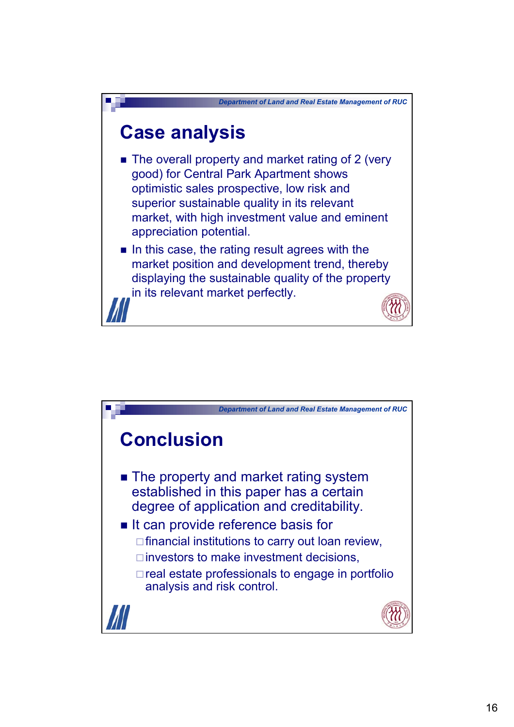